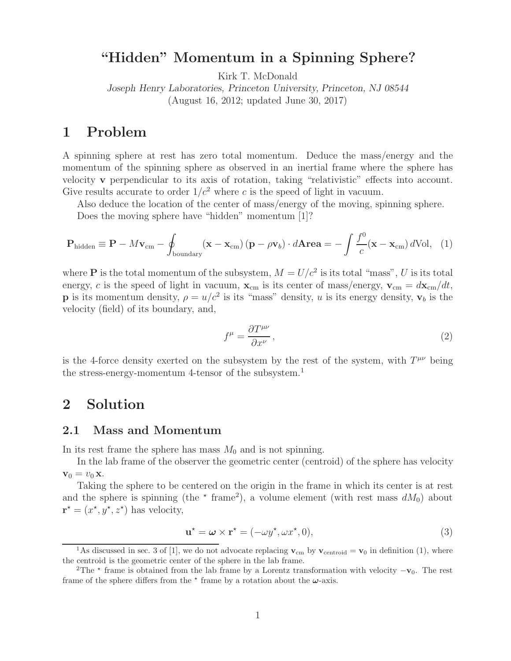# **"Hidden" Momentum in a Spinning Sphere?**

Kirk T. McDonald

*Joseph Henry Laboratories, Princeton University, Princeton, NJ 08544* (August 16, 2012; updated June 30, 2017)

# **1 Problem**

A spinning sphere at rest has zero total momentum. Deduce the mass/energy and the momentum of the spinning sphere as observed in an inertial frame where the sphere has velocity **v** perpendicular to its axis of rotation, taking "relativistic" effects into account. Give results accurate to order  $1/c^2$  where c is the speed of light in vacuum.

Also deduce the location of the center of mass/energy of the moving, spinning sphere.

Does the moving sphere have "hidden" momentum [1]?

$$
\mathbf{P}_{\text{hidden}} \equiv \mathbf{P} - M\mathbf{v}_{\text{cm}} - \oint_{\text{boundary}} (\mathbf{x} - \mathbf{x}_{\text{cm}}) (\mathbf{p} - \rho \mathbf{v}_b) \cdot d\mathbf{A} \mathbf{r} \mathbf{e} \mathbf{a} = -\int \frac{f^0}{c} (\mathbf{x} - \mathbf{x}_{\text{cm}}) d\text{Vol}, \quad (1)
$$

where **P** is the total momentum of the subsystem,  $M = U/c^2$  is its total "mass", U is its total energy, c is the speed of light in vacuum,  $\mathbf{x}_{cm}$  is its center of mass/energy,  $\mathbf{v}_{cm} = d\mathbf{x}_{cm}/dt$ , **p** is its momentum density,  $\rho = u/c^2$  is its "mass" density, u is its energy density,  $\mathbf{v}_b$  is the velocity (field) of its boundary, and,

$$
f^{\mu} = \frac{\partial T^{\mu\nu}}{\partial x^{\nu}},\tag{2}
$$

is the 4-force density exerted on the subsystem by the rest of the system, with  $T^{\mu\nu}$  being the stress-energy-momentum 4-tensor of the subsystem.<sup>1</sup>

## **2 Solution**

## **2.1 Mass and Momentum**

In its rest frame the sphere has mass  $M_0$  and is not spinning.

In the lab frame of the observer the geometric center (centroid) of the sphere has velocity  $\mathbf{v}_0 = v_0 \mathbf{x}$ .

Taking the sphere to be centered on the origin in the frame in which its center is at rest and the sphere is spinning (the  $\star$  frame<sup>2</sup>), a volume element (with rest mass  $dM_0$ ) about  $\mathbf{r}^* = (x^*, y^*, z^*)$  has velocity,

$$
\mathbf{u}^* = \boldsymbol{\omega} \times \mathbf{r}^* = (-\omega y^*, \omega x^*, 0),\tag{3}
$$

<sup>&</sup>lt;sup>1</sup>As discussed in sec. 3 of [1], we do not advocate replacing  $\mathbf{v}_{cm}$  by  $\mathbf{v}_{centroid} = \mathbf{v}_0$  in definition (1), where the centroid is the geometric center of the sphere in the lab frame.

<sup>&</sup>lt;sup>2</sup>The  $\star$  frame is obtained from the lab frame by a Lorentz transformation with velocity  $-\mathbf{v}_0$ . The rest frame of the sphere differs from the  $*$  frame by a rotation about the  $\omega$ -axis.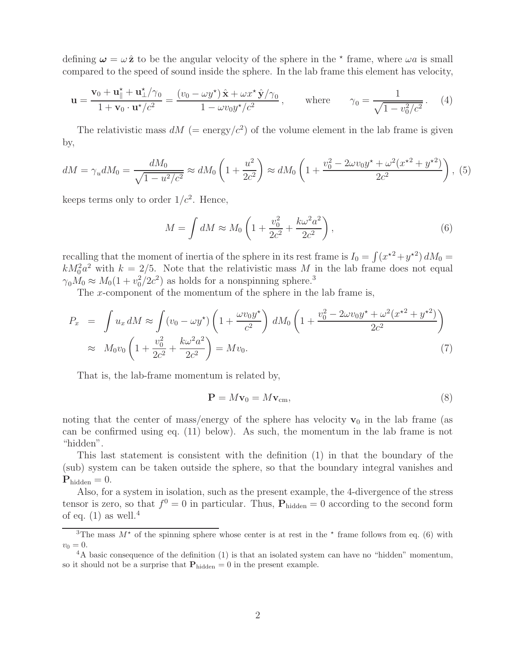defining  $\omega = \omega \hat{z}$  to be the angular velocity of the sphere in the  $*$  frame, where  $\omega a$  is small compared to the speed of sound inside the sphere. In the lab frame this element has velocity,

$$
\mathbf{u} = \frac{\mathbf{v}_0 + \mathbf{u}_\parallel^* + \mathbf{u}_\perp^* / \gamma_0}{1 + \mathbf{v}_0 \cdot \mathbf{u}^* / c^2} = \frac{(v_0 - \omega y^*) \hat{\mathbf{x}} + \omega x^* \hat{\mathbf{y}} / \gamma_0}{1 - \omega v_0 y^* / c^2}, \quad \text{where} \quad \gamma_0 = \frac{1}{\sqrt{1 - v_0^2/c^2}}. \tag{4}
$$

The relativistic mass  $dM$  (= energy/ $c^2$ ) of the volume element in the lab frame is given by,

$$
dM = \gamma_u dM_0 = \frac{dM_0}{\sqrt{1 - u^2/c^2}} \approx dM_0 \left( 1 + \frac{u^2}{2c^2} \right) \approx dM_0 \left( 1 + \frac{v_0^2 - 2\omega v_0 y^* + \omega^2 (x^{*2} + y^{*2})}{2c^2} \right),
$$
 (5)

keeps terms only to order  $1/c^2$ . Hence,

$$
M = \int dM \approx M_0 \left( 1 + \frac{v_0^2}{2c^2} + \frac{k\omega^2 a^2}{2c^2} \right),\tag{6}
$$

recalling that the moment of inertia of the sphere in its rest frame is  $I_0 = \int (x^2 + y^2) dM_0 =$  $kM_0^2a^2$  with  $k = 2/5$ . Note that the relativistic mass M in the lab frame does not equal  $\gamma_0 M_0 \approx M_0 (1 + v_0^2 / 2c^2)$  as holds for a nonspinning sphere.<sup>3</sup>

The x-component of the momentum of the sphere in the lab frame is,

$$
P_x = \int u_x dM \approx \int (v_0 - \omega y^*) \left( 1 + \frac{\omega v_0 y^*}{c^2} \right) dM_0 \left( 1 + \frac{v_0^2 - 2\omega v_0 y^* + \omega^2 (x^{*2} + y^{*2})}{2c^2} \right)
$$
  

$$
\approx M_0 v_0 \left( 1 + \frac{v_0^2}{2c^2} + \frac{k\omega^2 a^2}{2c^2} \right) = M v_0.
$$
 (7)

That is, the lab-frame momentum is related by,

$$
\mathbf{P} = M\mathbf{v}_0 = M\mathbf{v}_{\rm cm},\tag{8}
$$

noting that the center of mass/energy of the sphere has velocity  $v_0$  in the lab frame (as can be confirmed using eq. (11) below). As such, the momentum in the lab frame is not "hidden".

This last statement is consistent with the definition (1) in that the boundary of the (sub) system can be taken outside the sphere, so that the boundary integral vanishes and  $\mathbf{P}_{\text{hidden}} = 0.$ 

Also, for a system in isolation, such as the present example, the 4-divergence of the stress tensor is zero, so that  $f^0 = 0$  in particular. Thus,  $P_{hidden} = 0$  according to the second form of eq.  $(1)$  as well.<sup>4</sup>

<sup>&</sup>lt;sup>3</sup>The mass  $M^*$  of the spinning sphere whose center is at rest in the  $*$  frame follows from eq. (6) with  $v_0 = 0.$ 

<sup>&</sup>lt;sup>4</sup>A basic consequence of the definition (1) is that an isolated system can have no "hidden" momentum, so it should not be a surprise that  $P_{hidden} = 0$  in the present example.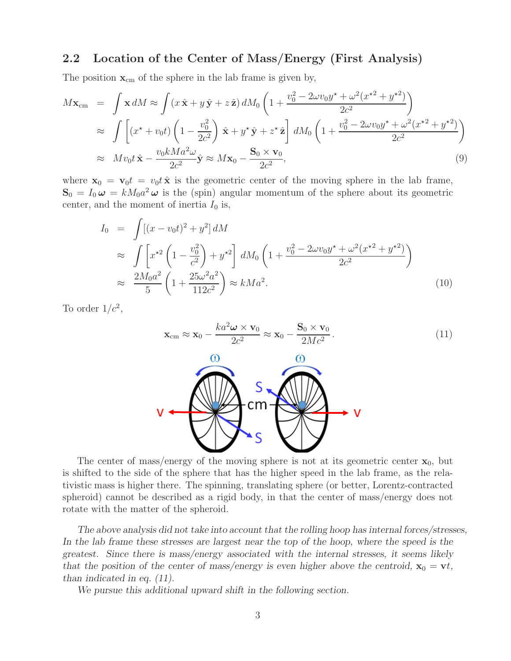## **2.2 Location of the Center of Mass/Energy (First Analysis)**

The position  $\mathbf{x}_{cm}$  of the sphere in the lab frame is given by,

$$
M\mathbf{x}_{cm} = \int \mathbf{x} dM \approx \int (x\,\hat{\mathbf{x}} + y\,\hat{\mathbf{y}} + z\,\hat{\mathbf{z}}) dM_0 \left( 1 + \frac{v_0^2 - 2\omega v_0 y^* + \omega^2 (x^{*2} + y^{*2})}{2c^2} \right)
$$
  
\n
$$
\approx \int \left[ (x^* + v_0 t) \left( 1 - \frac{v_0^2}{2c^2} \right) \hat{\mathbf{x}} + y^* \hat{\mathbf{y}} + z^* \hat{\mathbf{z}} \right] dM_0 \left( 1 + \frac{v_0^2 - 2\omega v_0 y^* + \omega^2 (x^{*2} + y^{*2})}{2c^2} \right)
$$
  
\n
$$
\approx M v_0 t \hat{\mathbf{x}} - \frac{v_0 k M a^2 \omega}{2c^2} \hat{\mathbf{y}} \approx M \mathbf{x}_0 - \frac{\mathbf{S}_0 \times \mathbf{v}_0}{2c^2},
$$
\n(9)

where  $\mathbf{x}_0 = \mathbf{v}_0 t = v_0 t \hat{\mathbf{x}}$  is the geometric center of the moving sphere in the lab frame,  $\mathbf{S}_0 = I_0 \boldsymbol{\omega} = k M_0 a^2 \boldsymbol{\omega}$  is the (spin) angular momentum of the sphere about its geometric center, and the moment of inertia  $I_0$  is,

$$
I_0 = \int [(x - v_0 t)^2 + y^2] dM
$$
  
\n
$$
\approx \int \left[ x^{*2} \left( 1 - \frac{v_0^2}{c^2} \right) + y^{*2} \right] dM_0 \left( 1 + \frac{v_0^2 - 2\omega v_0 y^* + \omega^2 (x^{*2} + y^{*2})}{2c^2} \right)
$$
  
\n
$$
\approx \frac{2M_0 a^2}{5} \left( 1 + \frac{25\omega^2 a^2}{112c^2} \right) \approx kMa^2.
$$
\n(10)

To order  $1/c^2$ ,

$$
\mathbf{x}_{cm} \approx \mathbf{x}_0 - \frac{ka^2 \boldsymbol{\omega} \times \mathbf{v}_0}{2c^2} \approx \mathbf{x}_0 - \frac{\mathbf{S}_0 \times \mathbf{v}_0}{2Mc^2}.
$$
 (11)



The center of mass/energy of the moving sphere is not at its geometric center  $\mathbf{x}_0$ , but is shifted to the side of the sphere that has the higher speed in the lab frame, as the relativistic mass is higher there. The spinning, translating sphere (or better, Lorentz-contracted spheroid) cannot be described as a rigid body, in that the center of mass/energy does not rotate with the matter of the spheroid.

*The above analysis did not take into account that the rolling hoop has internal forces/stresses, In the lab frame these stresses are largest near the top of the hoop, where the speed is the greatest. Since there is mass/energy associated with the internal stresses, it seems likely that the position of the center of mass/energy is even higher above the centroid,*  $\mathbf{x}_0 = \mathbf{v}t$ , *than indicated in eq. (11).*

*We pursue this additional upward shift in the following section.*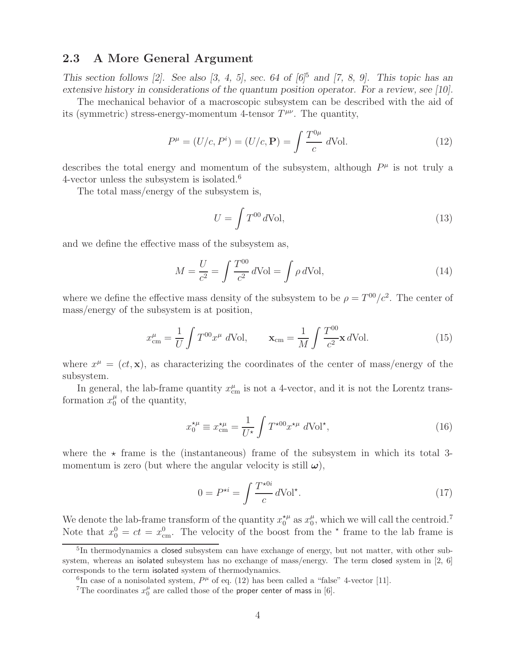## **2.3 A More General Argument**

*This section follows [2]. See also [3, 4, 5], sec. 64 of [6]*<sup>5</sup> *and [7, 8, 9]. This topic has an extensive history in considerations of the quantum position operator. For a review, see [10].*

The mechanical behavior of a macroscopic subsystem can be described with the aid of its (symmetric) stress-energy-momentum 4-tensor  $T^{\mu\nu}$ . The quantity,

$$
P^{\mu} = (U/c, P^{i}) = (U/c, \mathbf{P}) = \int \frac{T^{0\mu}}{c} d\text{Vol}.
$$
 (12)

describes the total energy and momentum of the subsystem, although  $P^{\mu}$  is not truly a 4-vector unless the subsystem is isolated.<sup>6</sup>

The total mass/energy of the subsystem is,

$$
U = \int T^{00} d\text{Vol},\tag{13}
$$

and we define the effective mass of the subsystem as,

$$
M = \frac{U}{c^2} = \int \frac{T^{00}}{c^2} d\text{Vol} = \int \rho d\text{Vol},\tag{14}
$$

where we define the effective mass density of the subsystem to be  $\rho = T^{00}/c^2$ . The center of mass/energy of the subsystem is at position,

$$
x_{\rm cm}^{\mu} = \frac{1}{U} \int T^{00} x^{\mu} d\text{Vol}, \qquad \mathbf{x}_{\rm cm} = \frac{1}{M} \int \frac{T^{00}}{c^2} \mathbf{x} d\text{Vol}. \tag{15}
$$

where  $x^{\mu} = (ct, \mathbf{x})$ , as characterizing the coordinates of the center of mass/energy of the subsystem.

In general, the lab-frame quantity  $x_{\text{cm}}^{\mu}$  is not a 4-vector, and it is not the Lorentz transformation  $x_0^{\mu}$  of the quantity,

$$
x_0^{\star \mu} \equiv x_{\rm cm}^{\star \mu} = \frac{1}{U^{\star}} \int T^{\star 00} x^{\star \mu} d\text{Vol}^{\star},\tag{16}
$$

where the  $\star$  frame is the (instantaneous) frame of the subsystem in which its total 3momentum is zero (but where the angular velocity is still  $\omega$ ),

$$
0 = P^{\star i} = \int \frac{T^{\star 0i}}{c} d\text{Vol}^{\star}.
$$
 (17)

We denote the lab-frame transform of the quantity  $x_0^{*\mu}$  as  $x_0^{\mu}$ , which we will call the centroid.<sup>7</sup> Note that  $x_0^0 = ct = x_{cm}^0$ . The velocity of the boost from the  $\star$  frame to the lab frame is

 $5$ In thermodynamics a closed subsystem can have exchange of energy, but not matter, with other subsystem, whereas an isolated subsystem has no exchange of mass/energy. The term closed system in [2, 6] corresponds to the term isolated system of thermodynamics.

<sup>&</sup>lt;sup>6</sup>In case of a nonisolated system,  $P^{\mu}$  of eq. (12) has been called a "false" 4-vector [11].

<sup>&</sup>lt;sup>7</sup>The coordinates  $x_0^{\mu}$  are called those of the proper center of mass in [6].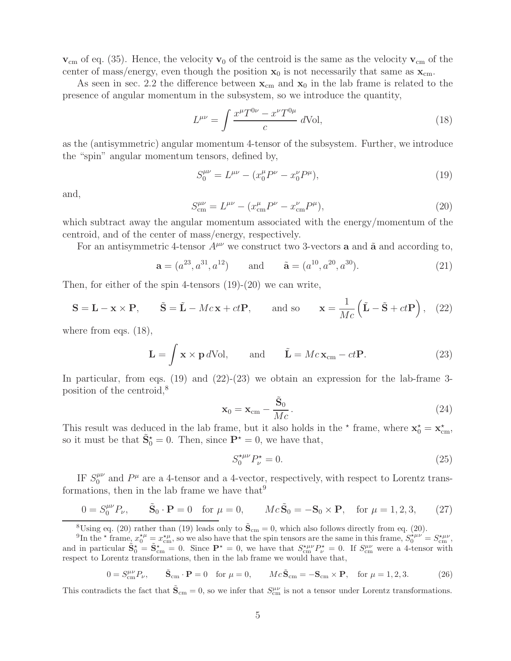$v_{\rm cm}$  of eq. (35). Hence, the velocity  $v_0$  of the centroid is the same as the velocity  $v_{\rm cm}$  of the center of mass/energy, even though the position  $x_0$  is not necessarily that same as  $x_{cm}$ .

As seen in sec. 2.2 the difference between  $\mathbf{x}_{cm}$  and  $\mathbf{x}_0$  in the lab frame is related to the presence of angular momentum in the subsystem, so we introduce the quantity,

$$
L^{\mu\nu} = \int \frac{x^{\mu} T^{0\nu} - x^{\nu} T^{0\mu}}{c} d\text{Vol},\tag{18}
$$

as the (antisymmetric) angular momentum 4-tensor of the subsystem. Further, we introduce the "spin" angular momentum tensors, defined by,

$$
S_0^{\mu\nu} = L^{\mu\nu} - (x_0^{\mu} P^{\nu} - x_0^{\nu} P^{\mu}), \tag{19}
$$

and,

$$
S_{\rm cm}^{\mu\nu} = L^{\mu\nu} - (x_{\rm cm}^{\mu} P^{\nu} - x_{\rm cm}^{\nu} P^{\mu}), \tag{20}
$$

which subtract away the angular momentum associated with the energy/momentum of the centroid, and of the center of mass/energy, respectively.

For an antisymmetric 4-tensor  $A^{\mu\nu}$  we construct two 3-vectors **a** and **a**̃ and according to,

$$
\mathbf{a} = (a^{23}, a^{31}, a^{12})
$$
 and  $\tilde{\mathbf{a}} = (a^{10}, a^{20}, a^{30}).$  (21)

Then, for either of the spin 4-tensors (19)-(20) we can write,

$$
\mathbf{S} = \mathbf{L} - \mathbf{x} \times \mathbf{P}, \qquad \tilde{\mathbf{S}} = \tilde{\mathbf{L}} - Mc\mathbf{x} + ct\mathbf{P}, \qquad \text{and so} \qquad \mathbf{x} = \frac{1}{Mc} (\tilde{\mathbf{L}} - \tilde{\mathbf{S}} + ct\mathbf{P}), \quad (22)
$$

where from eqs. (18),

$$
\mathbf{L} = \int \mathbf{x} \times \mathbf{p} \, d\text{Vol}, \qquad \text{and} \qquad \tilde{\mathbf{L}} = Mc\mathbf{x}_{cm} - ct\mathbf{P}.
$$
 (23)

In particular, from eqs.  $(19)$  and  $(22)-(23)$  we obtain an expression for the lab-frame 3position of the centroid,<sup>8</sup>

$$
\mathbf{x}_0 = \mathbf{x}_{cm} - \frac{\tilde{\mathbf{S}}_0}{Mc}.
$$
 (24)

This result was deduced in the lab frame, but it also holds in the  $*$  frame, where  $\mathbf{x}_0^* = \mathbf{x}_{cm}^*$ , so it must be that  $\tilde{\mathbf{S}}_0^* = 0$ . Then, since  $\mathbf{P}^* = 0$ , we have that,

$$
S_0^{*\mu\nu} P_\nu^* = 0.
$$
\n(25)

IF  $S_0^{\mu\nu}$  and  $P^{\mu}$  are a 4-tensor and a 4-vector, respectively, with respect to Lorentz transformations, then in the lab frame we have that  $9$ 

$$
0 = S_0^{\mu\nu} P_{\nu}, \qquad \tilde{\mathbf{S}}_0 \cdot \mathbf{P} = 0 \quad \text{for } \mu = 0, \qquad Mc\tilde{\mathbf{S}}_0 = -\mathbf{S}_0 \times \mathbf{P}, \quad \text{for } \mu = 1, 2, 3, \tag{27}
$$

<sup>8</sup>Using eq. (20) rather than (19) leads only to  $\tilde{\mathbf{S}}_{cm} = 0$ , which also follows directly from eq. (20).

<sup>9</sup>In the  $\star$  frame,  $x_0^{\star \mu} = x_{cm}^{\star \mu}$ , so we also have that the spin tensors are the same in this frame,  $S_0^{\star \mu \nu} = S_{cm}^{\star \mu \nu}$ , and in particular  $\tilde{\mathbf{S}}_0^* = \tilde{\mathbf{S}}_{cm}^* = 0$ . Since  $\mathbf{P}^* = 0$ , we have that  $S_{cm}^{*\mu\nu} P_{\nu}^* = 0$ . If  $S_{cm}^{\mu\nu}$  were a 4-tensor with respect to Lorentz transformations, then in the lab frame we would have that,

$$
0 = S_{\text{cm}}^{\mu\nu} P_{\nu}, \qquad \tilde{\mathbf{S}}_{\text{cm}} \cdot \mathbf{P} = 0 \quad \text{for } \mu = 0, \qquad Mc\tilde{\mathbf{S}}_{\text{cm}} = -\mathbf{S}_{\text{cm}} \times \mathbf{P}, \quad \text{for } \mu = 1, 2, 3. \tag{26}
$$

This contradicts the fact that  $\tilde{\mathbf{S}}_{cm} = 0$ , so we infer that  $S_{cm}^{\mu\nu}$  is not a tensor under Lorentz transformations.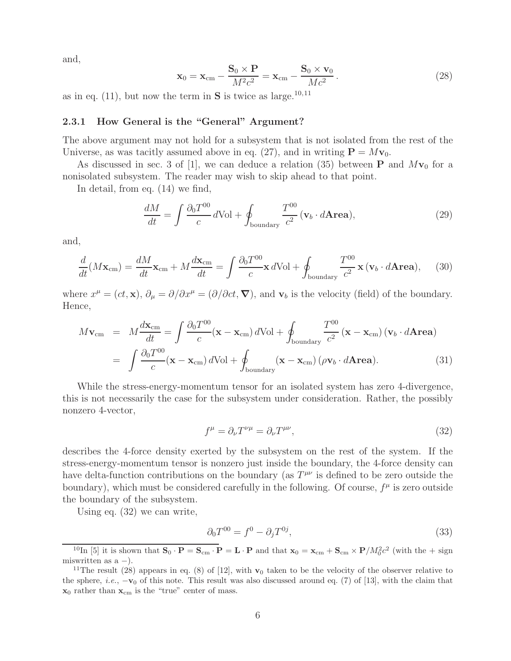and,

$$
\mathbf{x}_0 = \mathbf{x}_{cm} - \frac{\mathbf{S}_0 \times \mathbf{P}}{M^2 c^2} = \mathbf{x}_{cm} - \frac{\mathbf{S}_0 \times \mathbf{v}_0}{Mc^2}.
$$
 (28)

as in eq.  $(11)$ , but now the term in **S** is twice as large.<sup>10,11</sup>

#### **2.3.1 How General is the "General" Argument?**

The above argument may not hold for a subsystem that is not isolated from the rest of the Universe, as was tacitly assumed above in eq. (27), and in writing  $P = Mv_0$ .

As discussed in sec. 3 of [1], we can deduce a relation (35) between **P** and  $Mv_0$  for a nonisolated subsystem. The reader may wish to skip ahead to that point.

In detail, from eq. (14) we find,

$$
\frac{dM}{dt} = \int \frac{\partial_0 T^{00}}{c} d\text{Vol} + \oint_{\text{boundary}} \frac{T^{00}}{c^2} (\mathbf{v}_b \cdot d\mathbf{Area}),\tag{29}
$$

and,

$$
\frac{d}{dt}(M\mathbf{x}_{cm}) = \frac{dM}{dt}\mathbf{x}_{cm} + M\frac{d\mathbf{x}_{cm}}{dt} = \int \frac{\partial_0 T^{00}}{c}\mathbf{x} \, d\text{Vol} + \oint_{\text{boundary}} \frac{T^{00}}{c^2}\mathbf{x} \, (\mathbf{v}_b \cdot d\mathbf{Area}), \tag{30}
$$

where  $x^{\mu} = (ct, \mathbf{x}), \partial_{\mu} = \partial/\partial x^{\mu} = (\partial/\partial ct, \nabla)$ , and  $\mathbf{v}_{b}$  is the velocity (field) of the boundary. Hence,

$$
M\mathbf{v}_{\rm cm} = M\frac{d\mathbf{x}_{\rm cm}}{dt} = \int \frac{\partial_0 T^{00}}{c} (\mathbf{x} - \mathbf{x}_{\rm cm}) d\text{Vol} + \oint_{\text{boundary}} \frac{T^{00}}{c^2} (\mathbf{x} - \mathbf{x}_{\rm cm}) (\mathbf{v}_b \cdot d\mathbf{Area})
$$

$$
= \int \frac{\partial_0 T^{00}}{c} (\mathbf{x} - \mathbf{x}_{\rm cm}) d\text{Vol} + \oint_{\text{boundary}} (\mathbf{x} - \mathbf{x}_{\rm cm}) (\rho \mathbf{v}_b \cdot d\mathbf{Area}). \tag{31}
$$

While the stress-energy-momentum tensor for an isolated system has zero 4-divergence, this is not necessarily the case for the subsystem under consideration. Rather, the possibly nonzero 4-vector,

$$
f^{\mu} = \partial_{\nu} T^{\nu \mu} = \partial_{\nu} T^{\mu \nu}, \tag{32}
$$

describes the 4-force density exerted by the subsystem on the rest of the system. If the stress-energy-momentum tensor is nonzero just inside the boundary, the 4-force density can have delta-function contributions on the boundary (as  $T^{\mu\nu}$  is defined to be zero outside the boundary), which must be considered carefully in the following. Of course,  $f^{\mu}$  is zero outside the boundary of the subsystem.

Using eq. (32) we can write,

$$
\partial_0 T^{00} = f^0 - \partial_j T^{0j}, \tag{33}
$$

<sup>&</sup>lt;sup>10</sup>In [5] it is shown that  $\mathbf{S}_0 \cdot \mathbf{P} = \mathbf{S}_{cm} \cdot \mathbf{P} = \mathbf{L} \cdot \mathbf{P}$  and that  $\mathbf{x}_0 = \mathbf{x}_{cm} + \mathbf{S}_{cm} \times \mathbf{P}/M_0^2 c^2$  (with the + sign miswritten as  $a -$ ).

<sup>&</sup>lt;sup>11</sup>The result (28) appears in eq. (8) of [12], with **v**<sub>0</sub> taken to be the velocity of the observer relative to the sphere, *i.e.*,  $-\mathbf{v}_0$  of this note. This result was also discussed around eq. (7) of [13], with the claim that  $\mathbf{x}_0$  rather than  $\mathbf{x}_{cm}$  is the "true" center of mass.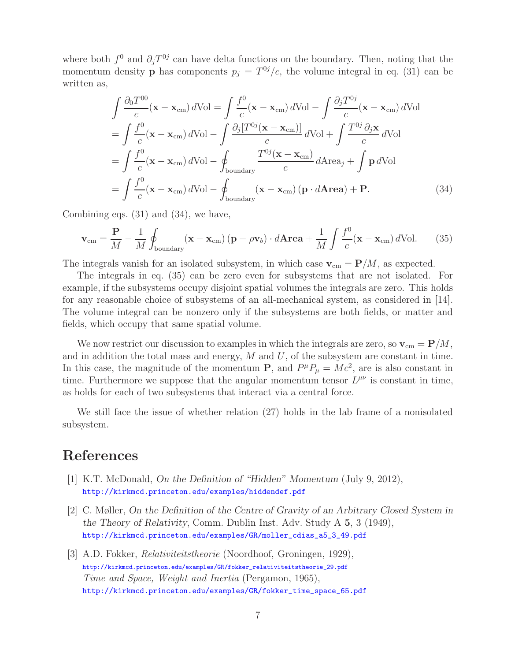where both  $f^0$  and  $\partial_i T^{0j}$  can have delta functions on the boundary. Then, noting that the momentum density **p** has components  $p_j = T^{0j}/c$ , the volume integral in eq. (31) can be written as,

$$
\int \frac{\partial_0 T^{00}}{c} (\mathbf{x} - \mathbf{x}_{cm}) d\text{Vol} = \int \frac{f^0}{c} (\mathbf{x} - \mathbf{x}_{cm}) d\text{Vol} - \int \frac{\partial_j T^{0j}}{c} (\mathbf{x} - \mathbf{x}_{cm}) d\text{Vol}
$$
  
\n
$$
= \int \frac{f^0}{c} (\mathbf{x} - \mathbf{x}_{cm}) d\text{Vol} - \int \frac{\partial_j [T^{0j} (\mathbf{x} - \mathbf{x}_{cm})]}{c} d\text{Vol} + \int \frac{T^{0j} \partial_j \mathbf{x}}{c} d\text{Vol}
$$
  
\n
$$
= \int \frac{f^0}{c} (\mathbf{x} - \mathbf{x}_{cm}) d\text{Vol} - \oint_{\text{boundary}} \frac{T^{0j} (\mathbf{x} - \mathbf{x}_{cm})}{c} d\text{Area}_j + \int \mathbf{p} d\text{Vol}
$$
  
\n
$$
= \int \frac{f^0}{c} (\mathbf{x} - \mathbf{x}_{cm}) d\text{Vol} - \oint_{\text{boundary}} (\mathbf{x} - \mathbf{x}_{cm}) (\mathbf{p} \cdot d\text{Area}) + \mathbf{P}.
$$
 (34)

Combining eqs. (31) and (34), we have,

$$
\mathbf{v}_{\rm cm} = \frac{\mathbf{P}}{M} - \frac{1}{M} \oint_{\text{boundary}} (\mathbf{x} - \mathbf{x}_{\rm cm}) \left( \mathbf{p} - \rho \mathbf{v}_b \right) \cdot d\mathbf{Area} + \frac{1}{M} \int \frac{f^0}{c} (\mathbf{x} - \mathbf{x}_{\rm cm}) d\text{Vol}. \tag{35}
$$

The integrals vanish for an isolated subsystem, in which case  $\mathbf{v}_{cm} = \mathbf{P}/M$ , as expected.

The integrals in eq. (35) can be zero even for subsystems that are not isolated. For example, if the subsystems occupy disjoint spatial volumes the integrals are zero. This holds for any reasonable choice of subsystems of an all-mechanical system, as considered in [14]. The volume integral can be nonzero only if the subsystems are both fields, or matter and fields, which occupy that same spatial volume.

We now restrict our discussion to examples in which the integrals are zero, so  $\mathbf{v}_{cm} = \mathbf{P}/M$ , and in addition the total mass and energy,  $M$  and  $U$ , of the subsystem are constant in time. In this case, the magnitude of the momentum **P**, and  $P^{\mu}P_{\mu} = Mc^2$ , are is also constant in time. Furthermore we suppose that the angular momentum tensor  $L^{\mu\nu}$  is constant in time, as holds for each of two subsystems that interact via a central force.

We still face the issue of whether relation (27) holds in the lab frame of a nonisolated subsystem.

# **References**

- [1] K.T. McDonald, *On the Definition of "Hidden" Momentum* (July 9, 2012), http://kirkmcd.princeton.edu/examples/hiddendef.pdf
- [2] C. Møller, *On the Definition of the Centre of Gravity of an Arbitrary Closed System in the Theory of Relativity*, Comm. Dublin Inst. Adv. Study A **5**, 3 (1949), http://kirkmcd.princeton.edu/examples/GR/moller\_cdias\_a5\_3\_49.pdf
- [3] A.D. Fokker, *Relativiteitstheorie* (Noordhoof, Groningen, 1929), http://kirkmcd.princeton.edu/examples/GR/fokker\_relativiteitstheorie\_29.pdf *Time and Space, Weight and Inertia* (Pergamon, 1965), http://kirkmcd.princeton.edu/examples/GR/fokker\_time\_space\_65.pdf